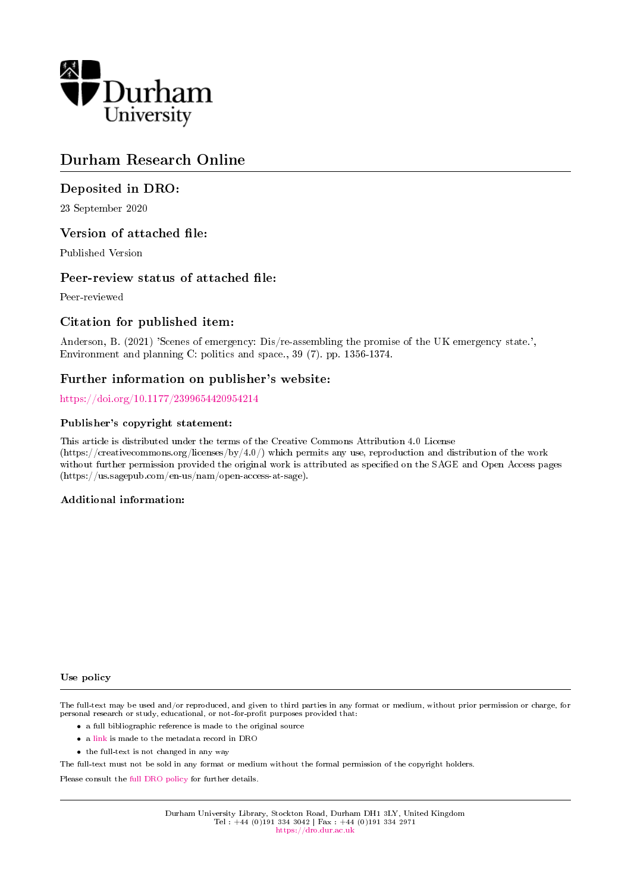

## Durham Research Online

## Deposited in DRO:

23 September 2020

## Version of attached file:

Published Version

## Peer-review status of attached file:

Peer-reviewed

## Citation for published item:

Anderson, B. (2021) 'Scenes of emergency: Dis/re-assembling the promise of the UK emergency state.', Environment and planning C: politics and space., 39 (7). pp. 1356-1374.

## Further information on publisher's website:

<https://doi.org/10.1177/2399654420954214>

#### Publisher's copyright statement:

This article is distributed under the terms of the Creative Commons Attribution 4.0 License (https://creativecommons.org/licenses/by/4.0/) which permits any use, reproduction and distribution of the work without further permission provided the original work is attributed as specified on the SAGE and Open Access pages (https://us.sagepub.com/en-us/nam/open-access-at-sage).

### Additional information:

#### Use policy

The full-text may be used and/or reproduced, and given to third parties in any format or medium, without prior permission or charge, for personal research or study, educational, or not-for-profit purposes provided that:

- a full bibliographic reference is made to the original source
- a [link](http://dro.dur.ac.uk/31661/) is made to the metadata record in DRO
- the full-text is not changed in any way

The full-text must not be sold in any format or medium without the formal permission of the copyright holders.

Please consult the [full DRO policy](https://dro.dur.ac.uk/policies/usepolicy.pdf) for further details.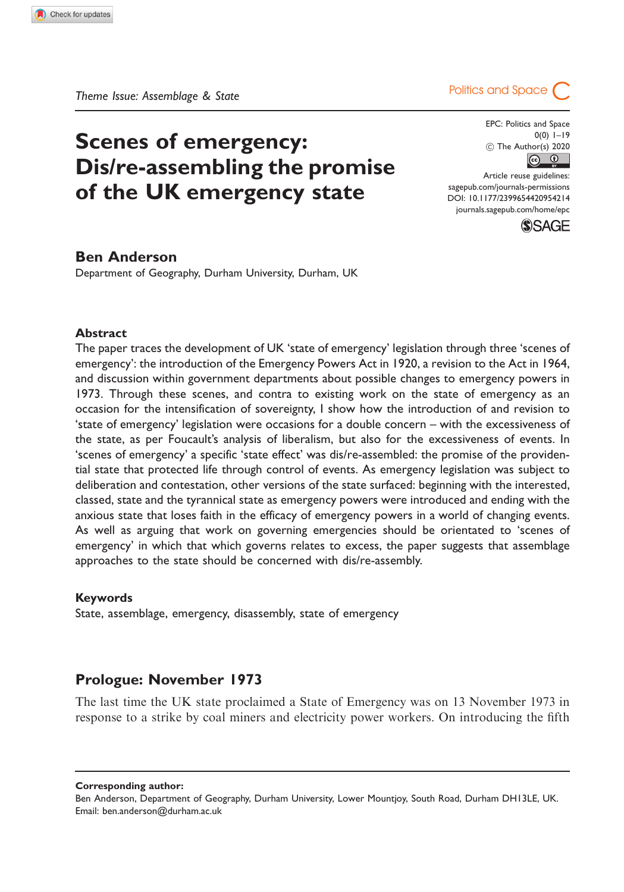# Scenes of emergency: Dis/re-assembling the promise of the UK emergency state



EPC: Politics and Space  $0(0)$  1–19  $\circled{c}$  The Author(s) 2020

Article reuse guidelines: [sagepub.com/journals-permissions](http://uk.sagepub.com/en-gb/journals-permissions) [DOI: 10.1177/2399654420954214](http://dx.doi.org/10.1177/2399654420954214) <journals.sagepub.com/home/epc>



#### Ben Anderson

Department of Geography, Durham University, Durham, UK

#### Abstract

The paper traces the development of UK 'state of emergency' legislation through three 'scenes of emergency': the introduction of the Emergency Powers Act in 1920, a revision to the Act in 1964, and discussion within government departments about possible changes to emergency powers in 1973. Through these scenes, and contra to existing work on the state of emergency as an occasion for the intensification of sovereignty, I show how the introduction of and revision to 'state of emergency' legislation were occasions for a double concern – with the excessiveness of the state, as per Foucault's analysis of liberalism, but also for the excessiveness of events. In 'scenes of emergency' a specific 'state effect' was dis/re-assembled: the promise of the providential state that protected life through control of events. As emergency legislation was subject to deliberation and contestation, other versions of the state surfaced: beginning with the interested, classed, state and the tyrannical state as emergency powers were introduced and ending with the anxious state that loses faith in the efficacy of emergency powers in a world of changing events. As well as arguing that work on governing emergencies should be orientated to 'scenes of emergency' in which that which governs relates to excess, the paper suggests that assemblage approaches to the state should be concerned with dis/re-assembly.

#### Keywords

State, assemblage, emergency, disassembly, state of emergency

## Prologue: November 1973

The last time the UK state proclaimed a State of Emergency was on 13 November 1973 in response to a strike by coal miners and electricity power workers. On introducing the fifth

Corresponding author:

Ben Anderson, Department of Geography, Durham University, Lower Mountjoy, South Road, Durham DH13LE, UK. Email: [ben.anderson@durham.ac.uk](mailto:ben.anderson@durham.ac.uk)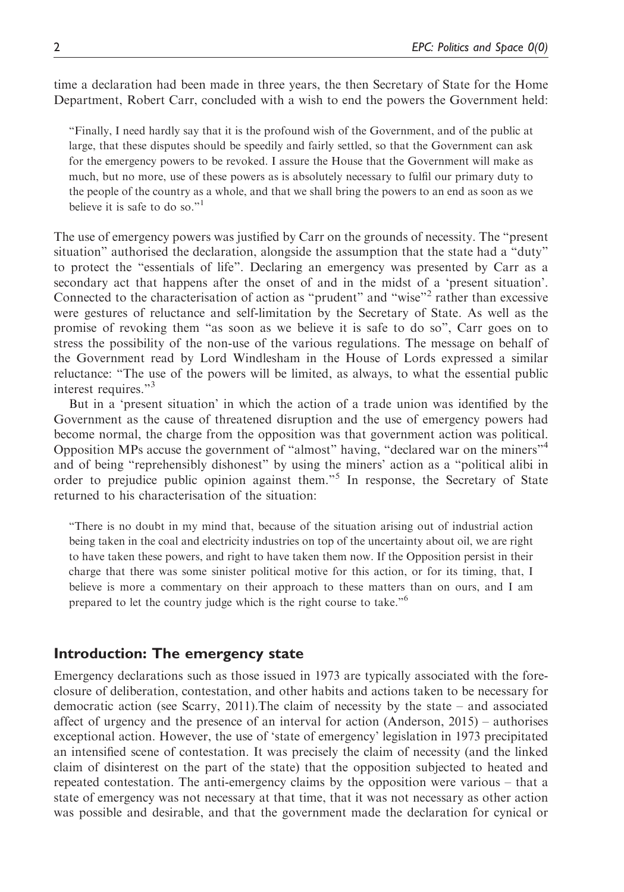time a declaration had been made in three years, the then Secretary of State for the Home Department, Robert Carr, concluded with a wish to end the powers the Government held:

"Finally, I need hardly say that it is the profound wish of the Government, and of the public at large, that these disputes should be speedily and fairly settled, so that the Government can ask for the emergency powers to be revoked. I assure the House that the Government will make as much, but no more, use of these powers as is absolutely necessary to fulfil our primary duty to the people of the country as a whole, and that we shall bring the powers to an end as soon as we believe it is safe to do so."<sup>1</sup>

The use of emergency powers was justified by Carr on the grounds of necessity. The "present situation" authorised the declaration, alongside the assumption that the state had a "duty" to protect the "essentials of life". Declaring an emergency was presented by Carr as a secondary act that happens after the onset of and in the midst of a 'present situation'. Connected to the characterisation of action as "prudent" and "wise"<sup>2</sup> rather than excessive were gestures of reluctance and self-limitation by the Secretary of State. As well as the promise of revoking them "as soon as we believe it is safe to do so", Carr goes on to stress the possibility of the non-use of the various regulations. The message on behalf of the Government read by Lord Windlesham in the House of Lords expressed a similar reluctance: "The use of the powers will be limited, as always, to what the essential public interest requires."<sup>3</sup>

But in a 'present situation' in which the action of a trade union was identified by the Government as the cause of threatened disruption and the use of emergency powers had become normal, the charge from the opposition was that government action was political. Opposition MPs accuse the government of "almost" having, "declared war on the miners"<sup>4</sup> and of being "reprehensibly dishonest" by using the miners' action as a "political alibi in order to prejudice public opinion against them."<sup>5</sup> In response, the Secretary of State returned to his characterisation of the situation:

"There is no doubt in my mind that, because of the situation arising out of industrial action being taken in the coal and electricity industries on top of the uncertainty about oil, we are right to have taken these powers, and right to have taken them now. If the Opposition persist in their charge that there was some sinister political motive for this action, or for its timing, that, I believe is more a commentary on their approach to these matters than on ours, and I am prepared to let the country judge which is the right course to take."<sup>6</sup>

#### Introduction: The emergency state

Emergency declarations such as those issued in 1973 are typically associated with the foreclosure of deliberation, contestation, and other habits and actions taken to be necessary for democratic action (see Scarry, 2011).The claim of necessity by the state – and associated affect of urgency and the presence of an interval for action (Anderson, 2015) – authorises exceptional action. However, the use of 'state of emergency' legislation in 1973 precipitated an intensified scene of contestation. It was precisely the claim of necessity (and the linked claim of disinterest on the part of the state) that the opposition subjected to heated and repeated contestation. The anti-emergency claims by the opposition were various – that a state of emergency was not necessary at that time, that it was not necessary as other action was possible and desirable, and that the government made the declaration for cynical or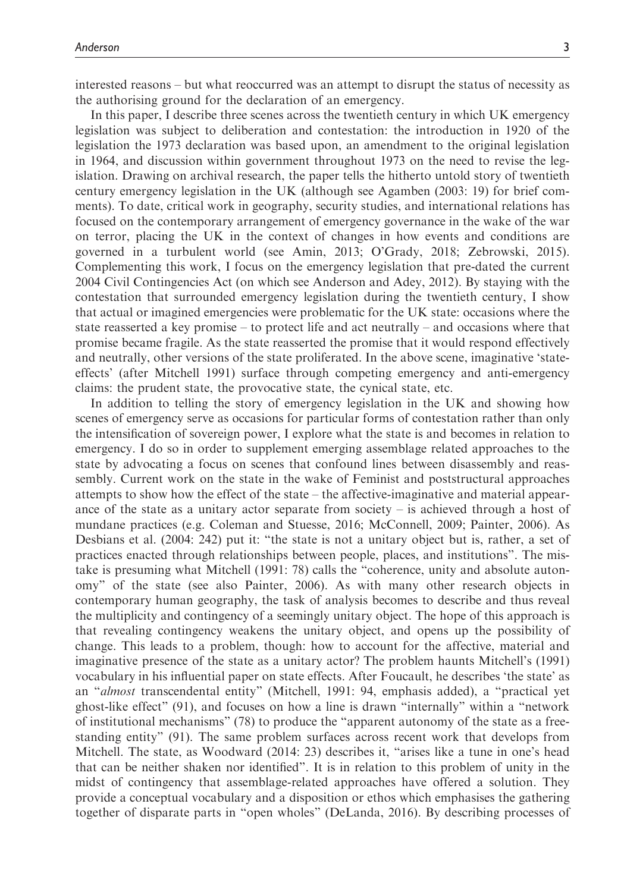interested reasons – but what reoccurred was an attempt to disrupt the status of necessity as the authorising ground for the declaration of an emergency.

In this paper, I describe three scenes across the twentieth century in which UK emergency legislation was subject to deliberation and contestation: the introduction in 1920 of the legislation the 1973 declaration was based upon, an amendment to the original legislation in 1964, and discussion within government throughout 1973 on the need to revise the legislation. Drawing on archival research, the paper tells the hitherto untold story of twentieth century emergency legislation in the UK (although see Agamben (2003: 19) for brief comments). To date, critical work in geography, security studies, and international relations has focused on the contemporary arrangement of emergency governance in the wake of the war on terror, placing the UK in the context of changes in how events and conditions are governed in a turbulent world (see Amin, 2013; O'Grady, 2018; Zebrowski, 2015). Complementing this work, I focus on the emergency legislation that pre-dated the current 2004 Civil Contingencies Act (on which see Anderson and Adey, 2012). By staying with the contestation that surrounded emergency legislation during the twentieth century, I show that actual or imagined emergencies were problematic for the UK state: occasions where the state reasserted a key promise – to protect life and act neutrally – and occasions where that promise became fragile. As the state reasserted the promise that it would respond effectively and neutrally, other versions of the state proliferated. In the above scene, imaginative 'stateeffects' (after Mitchell 1991) surface through competing emergency and anti-emergency claims: the prudent state, the provocative state, the cynical state, etc.

In addition to telling the story of emergency legislation in the UK and showing how scenes of emergency serve as occasions for particular forms of contestation rather than only the intensification of sovereign power, I explore what the state is and becomes in relation to emergency. I do so in order to supplement emerging assemblage related approaches to the state by advocating a focus on scenes that confound lines between disassembly and reassembly. Current work on the state in the wake of Feminist and poststructural approaches attempts to show how the effect of the state – the affective-imaginative and material appearance of the state as a unitary actor separate from society – is achieved through a host of mundane practices (e.g. Coleman and Stuesse, 2016; McConnell, 2009; Painter, 2006). As Desbians et al. (2004: 242) put it: "the state is not a unitary object but is, rather, a set of practices enacted through relationships between people, places, and institutions". The mistake is presuming what Mitchell (1991: 78) calls the "coherence, unity and absolute autonomy" of the state (see also Painter, 2006). As with many other research objects in contemporary human geography, the task of analysis becomes to describe and thus reveal the multiplicity and contingency of a seemingly unitary object. The hope of this approach is that revealing contingency weakens the unitary object, and opens up the possibility of change. This leads to a problem, though: how to account for the affective, material and imaginative presence of the state as a unitary actor? The problem haunts Mitchell's (1991) vocabulary in his influential paper on state effects. After Foucault, he describes 'the state' as an "almost transcendental entity" (Mitchell, 1991: 94, emphasis added), a "practical yet ghost-like effect" (91), and focuses on how a line is drawn "internally" within a "network of institutional mechanisms" (78) to produce the "apparent autonomy of the state as a freestanding entity" (91). The same problem surfaces across recent work that develops from Mitchell. The state, as Woodward (2014: 23) describes it, "arises like a tune in one's head that can be neither shaken nor identified". It is in relation to this problem of unity in the midst of contingency that assemblage-related approaches have offered a solution. They provide a conceptual vocabulary and a disposition or ethos which emphasises the gathering together of disparate parts in "open wholes" (DeLanda, 2016). By describing processes of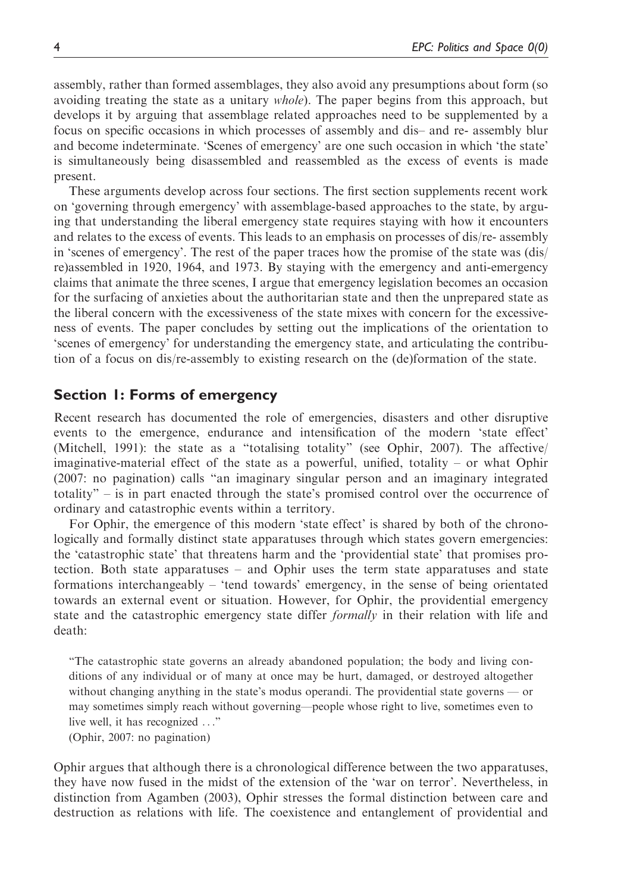assembly, rather than formed assemblages, they also avoid any presumptions about form (so avoiding treating the state as a unitary *whole*). The paper begins from this approach, but develops it by arguing that assemblage related approaches need to be supplemented by a focus on specific occasions in which processes of assembly and dis– and re- assembly blur and become indeterminate. 'Scenes of emergency' are one such occasion in which 'the state' is simultaneously being disassembled and reassembled as the excess of events is made present.

These arguments develop across four sections. The first section supplements recent work on 'governing through emergency' with assemblage-based approaches to the state, by arguing that understanding the liberal emergency state requires staying with how it encounters and relates to the excess of events. This leads to an emphasis on processes of dis/re- assembly in 'scenes of emergency'. The rest of the paper traces how the promise of the state was (dis/ re)assembled in 1920, 1964, and 1973. By staying with the emergency and anti-emergency claims that animate the three scenes, I argue that emergency legislation becomes an occasion for the surfacing of anxieties about the authoritarian state and then the unprepared state as the liberal concern with the excessiveness of the state mixes with concern for the excessiveness of events. The paper concludes by setting out the implications of the orientation to 'scenes of emergency' for understanding the emergency state, and articulating the contribution of a focus on dis/re-assembly to existing research on the (de)formation of the state.

#### Section 1: Forms of emergency

Recent research has documented the role of emergencies, disasters and other disruptive events to the emergence, endurance and intensification of the modern 'state effect' (Mitchell, 1991): the state as a "totalising totality" (see Ophir, 2007). The affective/ imaginative-material effect of the state as a powerful, unified, totality – or what Ophir (2007: no pagination) calls "an imaginary singular person and an imaginary integrated totality" – is in part enacted through the state's promised control over the occurrence of ordinary and catastrophic events within a territory.

For Ophir, the emergence of this modern 'state effect' is shared by both of the chronologically and formally distinct state apparatuses through which states govern emergencies: the 'catastrophic state' that threatens harm and the 'providential state' that promises protection. Both state apparatuses – and Ophir uses the term state apparatuses and state formations interchangeably – 'tend towards' emergency, in the sense of being orientated towards an external event or situation. However, for Ophir, the providential emergency state and the catastrophic emergency state differ *formally* in their relation with life and death:

"The catastrophic state governs an already abandoned population; the body and living conditions of any individual or of many at once may be hurt, damaged, or destroyed altogether without changing anything in the state's modus operandi. The providential state governs — or may sometimes simply reach without governing—people whose right to live, sometimes even to live well, it has recognized ..."

(Ophir, 2007: no pagination)

Ophir argues that although there is a chronological difference between the two apparatuses, they have now fused in the midst of the extension of the 'war on terror'. Nevertheless, in distinction from Agamben (2003), Ophir stresses the formal distinction between care and destruction as relations with life. The coexistence and entanglement of providential and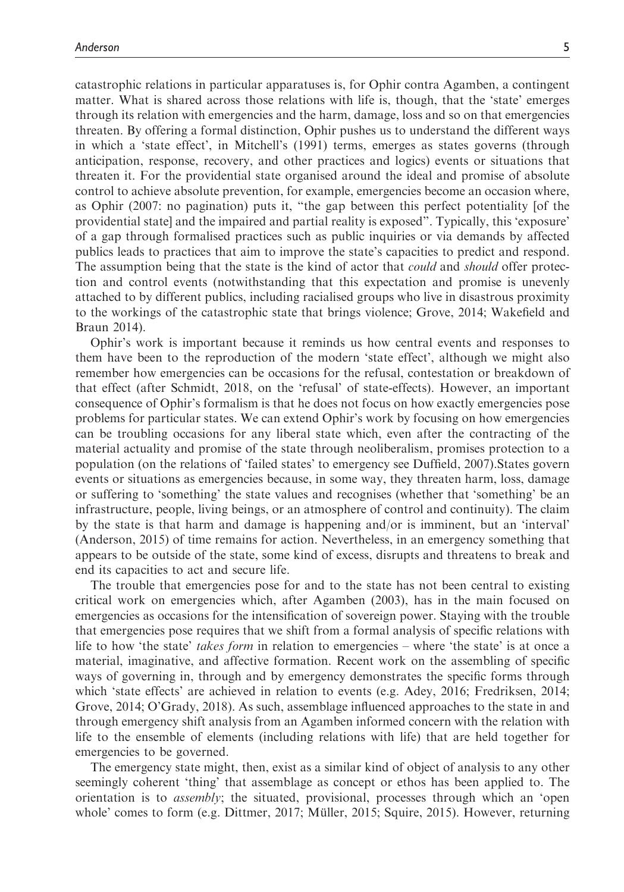catastrophic relations in particular apparatuses is, for Ophir contra Agamben, a contingent matter. What is shared across those relations with life is, though, that the 'state' emerges through its relation with emergencies and the harm, damage, loss and so on that emergencies threaten. By offering a formal distinction, Ophir pushes us to understand the different ways in which a 'state effect', in Mitchell's (1991) terms, emerges as states governs (through anticipation, response, recovery, and other practices and logics) events or situations that threaten it. For the providential state organised around the ideal and promise of absolute control to achieve absolute prevention, for example, emergencies become an occasion where, as Ophir (2007: no pagination) puts it, "the gap between this perfect potentiality [of the providential state] and the impaired and partial reality is exposed". Typically, this 'exposure' of a gap through formalised practices such as public inquiries or via demands by affected publics leads to practices that aim to improve the state's capacities to predict and respond. The assumption being that the state is the kind of actor that *could* and *should* offer protection and control events (notwithstanding that this expectation and promise is unevenly attached to by different publics, including racialised groups who live in disastrous proximity to the workings of the catastrophic state that brings violence; Grove, 2014; Wakefield and Braun 2014).

Ophir's work is important because it reminds us how central events and responses to them have been to the reproduction of the modern 'state effect', although we might also remember how emergencies can be occasions for the refusal, contestation or breakdown of that effect (after Schmidt, 2018, on the 'refusal' of state-effects). However, an important consequence of Ophir's formalism is that he does not focus on how exactly emergencies pose problems for particular states. We can extend Ophir's work by focusing on how emergencies can be troubling occasions for any liberal state which, even after the contracting of the material actuality and promise of the state through neoliberalism, promises protection to a population (on the relations of 'failed states' to emergency see Duffield, 2007).States govern events or situations as emergencies because, in some way, they threaten harm, loss, damage or suffering to 'something' the state values and recognises (whether that 'something' be an infrastructure, people, living beings, or an atmosphere of control and continuity). The claim by the state is that harm and damage is happening and/or is imminent, but an 'interval' (Anderson, 2015) of time remains for action. Nevertheless, in an emergency something that appears to be outside of the state, some kind of excess, disrupts and threatens to break and end its capacities to act and secure life.

The trouble that emergencies pose for and to the state has not been central to existing critical work on emergencies which, after Agamben (2003), has in the main focused on emergencies as occasions for the intensification of sovereign power. Staying with the trouble that emergencies pose requires that we shift from a formal analysis of specific relations with life to how 'the state' *takes form* in relation to emergencies – where 'the state' is at once a material, imaginative, and affective formation. Recent work on the assembling of specific ways of governing in, through and by emergency demonstrates the specific forms through which 'state effects' are achieved in relation to events (e.g. Adey, 2016; Fredriksen, 2014; Grove, 2014; O'Grady, 2018). As such, assemblage influenced approaches to the state in and through emergency shift analysis from an Agamben informed concern with the relation with life to the ensemble of elements (including relations with life) that are held together for emergencies to be governed.

The emergency state might, then, exist as a similar kind of object of analysis to any other seemingly coherent 'thing' that assemblage as concept or ethos has been applied to. The orientation is to assembly; the situated, provisional, processes through which an 'open whole' comes to form (e.g. Dittmer, 2017; Müller, 2015; Squire, 2015). However, returning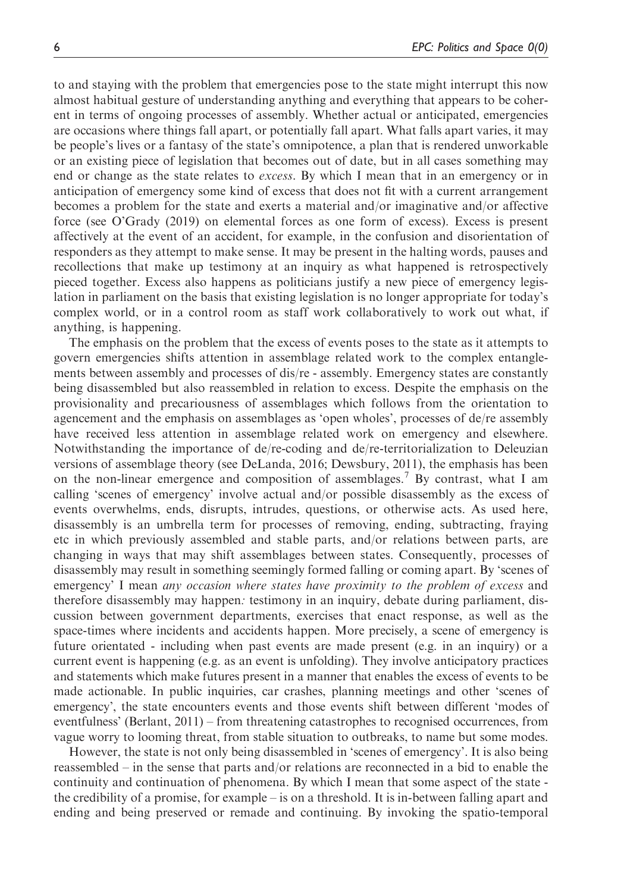to and staying with the problem that emergencies pose to the state might interrupt this now almost habitual gesture of understanding anything and everything that appears to be coherent in terms of ongoing processes of assembly. Whether actual or anticipated, emergencies are occasions where things fall apart, or potentially fall apart. What falls apart varies, it may be people's lives or a fantasy of the state's omnipotence, a plan that is rendered unworkable or an existing piece of legislation that becomes out of date, but in all cases something may end or change as the state relates to *excess*. By which I mean that in an emergency or in anticipation of emergency some kind of excess that does not fit with a current arrangement becomes a problem for the state and exerts a material and/or imaginative and/or affective force (see O'Grady (2019) on elemental forces as one form of excess). Excess is present affectively at the event of an accident, for example, in the confusion and disorientation of responders as they attempt to make sense. It may be present in the halting words, pauses and recollections that make up testimony at an inquiry as what happened is retrospectively pieced together. Excess also happens as politicians justify a new piece of emergency legislation in parliament on the basis that existing legislation is no longer appropriate for today's complex world, or in a control room as staff work collaboratively to work out what, if anything, is happening.

The emphasis on the problem that the excess of events poses to the state as it attempts to govern emergencies shifts attention in assemblage related work to the complex entanglements between assembly and processes of dis/re - assembly. Emergency states are constantly being disassembled but also reassembled in relation to excess. Despite the emphasis on the provisionality and precariousness of assemblages which follows from the orientation to agencement and the emphasis on assemblages as 'open wholes', processes of de/re assembly have received less attention in assemblage related work on emergency and elsewhere. Notwithstanding the importance of de/re-coding and de/re-territorialization to Deleuzian versions of assemblage theory (see DeLanda, 2016; Dewsbury, 2011), the emphasis has been on the non-linear emergence and composition of assemblages.<sup>7</sup> By contrast, what I am calling 'scenes of emergency' involve actual and/or possible disassembly as the excess of events overwhelms, ends, disrupts, intrudes, questions, or otherwise acts. As used here, disassembly is an umbrella term for processes of removing, ending, subtracting, fraying etc in which previously assembled and stable parts, and/or relations between parts, are changing in ways that may shift assemblages between states. Consequently, processes of disassembly may result in something seemingly formed falling or coming apart. By 'scenes of emergency' I mean any occasion where states have proximity to the problem of excess and therefore disassembly may happen: testimony in an inquiry, debate during parliament, discussion between government departments, exercises that enact response, as well as the space-times where incidents and accidents happen. More precisely, a scene of emergency is future orientated - including when past events are made present (e.g. in an inquiry) or a current event is happening (e.g. as an event is unfolding). They involve anticipatory practices and statements which make futures present in a manner that enables the excess of events to be made actionable. In public inquiries, car crashes, planning meetings and other 'scenes of emergency', the state encounters events and those events shift between different 'modes of eventfulness' (Berlant, 2011) – from threatening catastrophes to recognised occurrences, from vague worry to looming threat, from stable situation to outbreaks, to name but some modes.

However, the state is not only being disassembled in 'scenes of emergency'. It is also being reassembled – in the sense that parts and/or relations are reconnected in a bid to enable the continuity and continuation of phenomena. By which I mean that some aspect of the state the credibility of a promise, for example – is on a threshold. It is in-between falling apart and ending and being preserved or remade and continuing. By invoking the spatio-temporal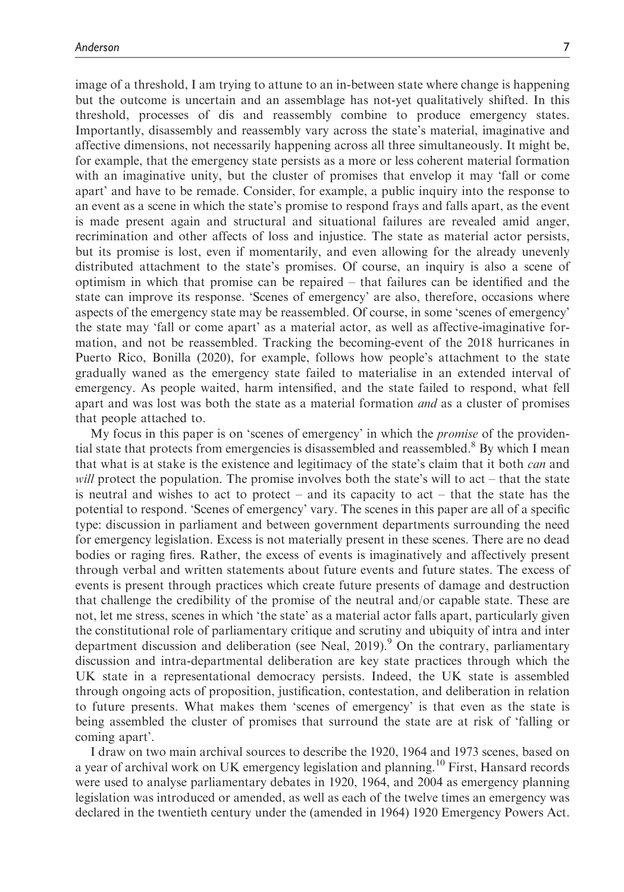image of a threshold, I am trying to attune to an in-between state where change is happening but the outcome is uncertain and an assemblage has not-yet qualitatively shifted. In this threshold, processes of dis and reassembly combine to produce emergency states. Importantly, disassembly and reassembly vary across the state's material, imaginative and affective dimensions, not necessarily happening across all three simultaneously. It might be, for example, that the emergency state persists as a more or less coherent material formation with an imaginative unity, but the cluster of promises that envelop it may 'fall or come apart' and have to be remade. Consider, for example, a public inquiry into the response to an event as a scene in which the state's promise to respond frays and falls apart, as the event is made present again and structural and situational failures are revealed amid anger, recrimination and other affects of loss and injustice. The state as material actor persists, but its promise is lost, even if momentarily, and even allowing for the already unevenly distributed attachment to the state's promises. Of course, an inquiry is also a scene of optimism in which that promise can be repaired – that failures can be identified and the state can improve its response. 'Scenes of emergency' are also, therefore, occasions where aspects of the emergency state may be reassembled. Of course, in some 'scenes of emergency' the state may 'fall or come apart' as a material actor, as well as affective-imaginative formation, and not be reassembled. Tracking the becoming-event of the 2018 hurricanes in Puerto Rico, Bonilla (2020), for example, follows how people's attachment to the state gradually waned as the emergency state failed to materialise in an extended interval of emergency. As people waited, harm intensified, and the state failed to respond, what fell apart and was lost was both the state as a material formation *and* as a cluster of promises that people attached to.

My focus in this paper is on 'scenes of emergency' in which the *promise* of the providential state that protects from emergencies is disassembled and reassembled.<sup>8</sup> By which I mean that what is at stake is the existence and legitimacy of the state's claim that it both *can* and will protect the population. The promise involves both the state's will to act – that the state is neutral and wishes to act to protect – and its capacity to act – that the state has the potential to respond. 'Scenes of emergency' vary. The scenes in this paper are all of a specific type: discussion in parliament and between government departments surrounding the need for emergency legislation. Excess is not materially present in these scenes. There are no dead bodies or raging fires. Rather, the excess of events is imaginatively and affectively present through verbal and written statements about future events and future states. The excess of events is present through practices which create future presents of damage and destruction that challenge the credibility of the promise of the neutral and/or capable state. These are not, let me stress, scenes in which 'the state' as a material actor falls apart, particularly given the constitutional role of parliamentary critique and scrutiny and ubiquity of intra and inter department discussion and deliberation (see Neal,  $2019$ ).<sup>9</sup> On the contrary, parliamentary discussion and intra-departmental deliberation are key state practices through which the UK state in a representational democracy persists. Indeed, the UK state is assembled through ongoing acts of proposition, justification, contestation, and deliberation in relation to future presents. What makes them 'scenes of emergency' is that even as the state is being assembled the cluster of promises that surround the state are at risk of 'falling or coming apart'.

I draw on two main archival sources to describe the 1920, 1964 and 1973 scenes, based on a year of archival work on UK emergency legislation and planning.<sup>10</sup> First, Hansard records were used to analyse parliamentary debates in 1920, 1964, and 2004 as emergency planning legislation was introduced or amended, as well as each of the twelve times an emergency was declared in the twentieth century under the (amended in 1964) 1920 Emergency Powers Act.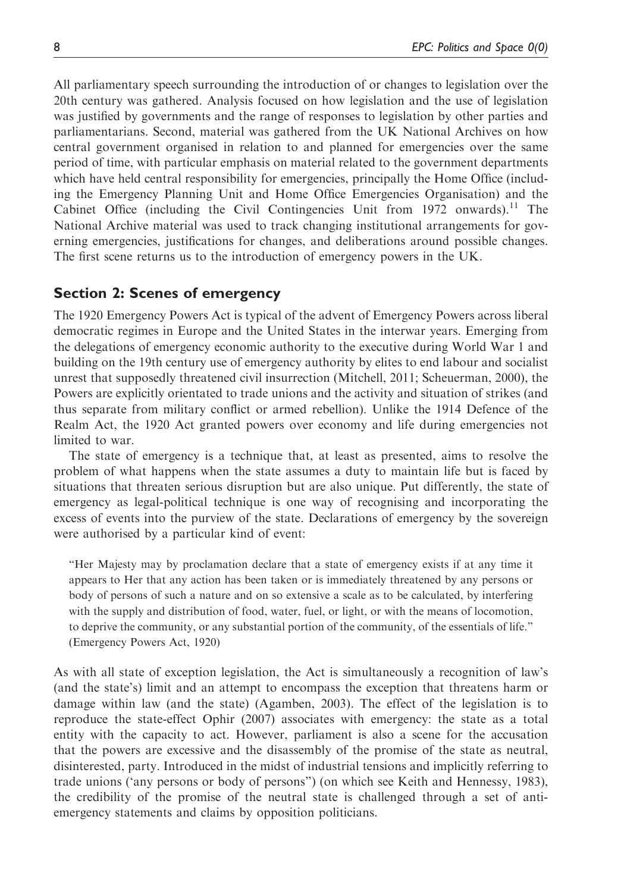All parliamentary speech surrounding the introduction of or changes to legislation over the 20th century was gathered. Analysis focused on how legislation and the use of legislation was justified by governments and the range of responses to legislation by other parties and parliamentarians. Second, material was gathered from the UK National Archives on how central government organised in relation to and planned for emergencies over the same period of time, with particular emphasis on material related to the government departments which have held central responsibility for emergencies, principally the Home Office (including the Emergency Planning Unit and Home Office Emergencies Organisation) and the Cabinet Office (including the Civil Contingencies Unit from 1972 onwards).<sup>11</sup> The National Archive material was used to track changing institutional arrangements for governing emergencies, justifications for changes, and deliberations around possible changes. The first scene returns us to the introduction of emergency powers in the UK.

#### Section 2: Scenes of emergency

The 1920 Emergency Powers Act is typical of the advent of Emergency Powers across liberal democratic regimes in Europe and the United States in the interwar years. Emerging from the delegations of emergency economic authority to the executive during World War 1 and building on the 19th century use of emergency authority by elites to end labour and socialist unrest that supposedly threatened civil insurrection (Mitchell, 2011; Scheuerman, 2000), the Powers are explicitly orientated to trade unions and the activity and situation of strikes (and thus separate from military conflict or armed rebellion). Unlike the 1914 Defence of the Realm Act, the 1920 Act granted powers over economy and life during emergencies not limited to war.

The state of emergency is a technique that, at least as presented, aims to resolve the problem of what happens when the state assumes a duty to maintain life but is faced by situations that threaten serious disruption but are also unique. Put differently, the state of emergency as legal-political technique is one way of recognising and incorporating the excess of events into the purview of the state. Declarations of emergency by the sovereign were authorised by a particular kind of event:

"Her Majesty may by proclamation declare that a state of emergency exists if at any time it appears to Her that any action has been taken or is immediately threatened by any persons or body of persons of such a nature and on so extensive a scale as to be calculated, by interfering with the supply and distribution of food, water, fuel, or light, or with the means of locomotion, to deprive the community, or any substantial portion of the community, of the essentials of life." (Emergency Powers Act, 1920)

As with all state of exception legislation, the Act is simultaneously a recognition of law's (and the state's) limit and an attempt to encompass the exception that threatens harm or damage within law (and the state) (Agamben, 2003). The effect of the legislation is to reproduce the state-effect Ophir (2007) associates with emergency: the state as a total entity with the capacity to act. However, parliament is also a scene for the accusation that the powers are excessive and the disassembly of the promise of the state as neutral, disinterested, party. Introduced in the midst of industrial tensions and implicitly referring to trade unions ('any persons or body of persons") (on which see Keith and Hennessy, 1983), the credibility of the promise of the neutral state is challenged through a set of antiemergency statements and claims by opposition politicians.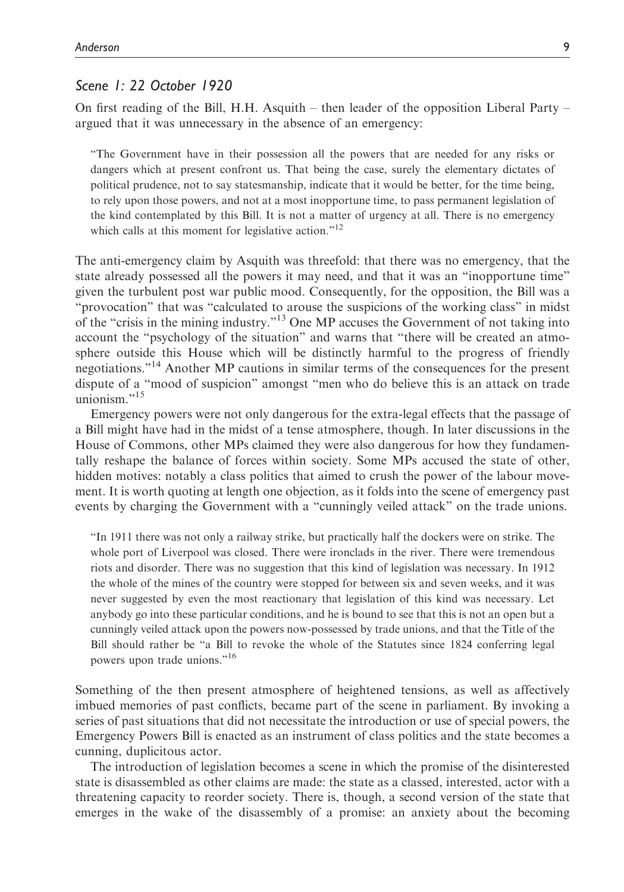#### Scene 1: 22 October 1920

On first reading of the Bill, H.H. Asquith – then leader of the opposition Liberal Party – argued that it was unnecessary in the absence of an emergency:

"The Government have in their possession all the powers that are needed for any risks or dangers which at present confront us. That being the case, surely the elementary dictates of political prudence, not to say statesmanship, indicate that it would be better, for the time being, to rely upon those powers, and not at a most inopportune time, to pass permanent legislation of the kind contemplated by this Bill. It is not a matter of urgency at all. There is no emergency which calls at this moment for legislative action."<sup>12</sup>

The anti-emergency claim by Asquith was threefold: that there was no emergency, that the state already possessed all the powers it may need, and that it was an "inopportune time" given the turbulent post war public mood. Consequently, for the opposition, the Bill was a "provocation" that was "calculated to arouse the suspicions of the working class" in midst of the "crisis in the mining industry."<sup>13</sup> One MP accuses the Government of not taking into account the "psychology of the situation" and warns that "there will be created an atmosphere outside this House which will be distinctly harmful to the progress of friendly negotiations."14 Another MP cautions in similar terms of the consequences for the present dispute of a "mood of suspicion" amongst "men who do believe this is an attack on trade unionism."<sup>15</sup>

Emergency powers were not only dangerous for the extra-legal effects that the passage of a Bill might have had in the midst of a tense atmosphere, though. In later discussions in the House of Commons, other MPs claimed they were also dangerous for how they fundamentally reshape the balance of forces within society. Some MPs accused the state of other, hidden motives: notably a class politics that aimed to crush the power of the labour movement. It is worth quoting at length one objection, as it folds into the scene of emergency past events by charging the Government with a "cunningly veiled attack" on the trade unions.

"In 1911 there was not only a railway strike, but practically half the dockers were on strike. The whole port of Liverpool was closed. There were ironclads in the river. There were tremendous riots and disorder. There was no suggestion that this kind of legislation was necessary. In 1912 the whole of the mines of the country were stopped for between six and seven weeks, and it was never suggested by even the most reactionary that legislation of this kind was necessary. Let anybody go into these particular conditions, and he is bound to see that this is not an open but a cunningly veiled attack upon the powers now-possessed by trade unions, and that the Title of the Bill should rather be "a Bill to revoke the whole of the Statutes since 1824 conferring legal powers upon trade unions."16

Something of the then present atmosphere of heightened tensions, as well as affectively imbued memories of past conflicts, became part of the scene in parliament. By invoking a series of past situations that did not necessitate the introduction or use of special powers, the Emergency Powers Bill is enacted as an instrument of class politics and the state becomes a cunning, duplicitous actor.

The introduction of legislation becomes a scene in which the promise of the disinterested state is disassembled as other claims are made: the state as a classed, interested, actor with a threatening capacity to reorder society. There is, though, a second version of the state that emerges in the wake of the disassembly of a promise: an anxiety about the becoming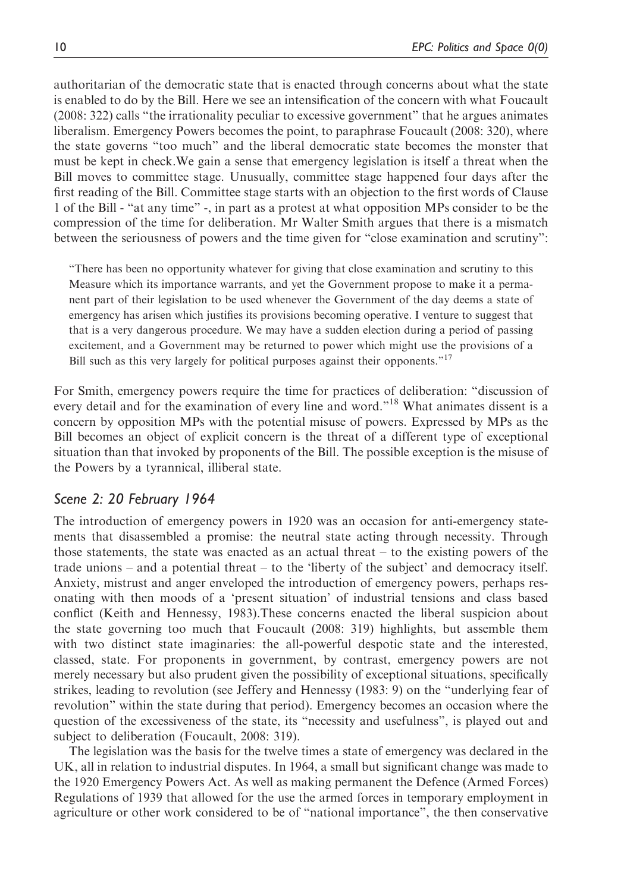authoritarian of the democratic state that is enacted through concerns about what the state is enabled to do by the Bill. Here we see an intensification of the concern with what Foucault (2008: 322) calls "the irrationality peculiar to excessive government" that he argues animates liberalism. Emergency Powers becomes the point, to paraphrase Foucault (2008: 320), where the state governs "too much" and the liberal democratic state becomes the monster that must be kept in check.We gain a sense that emergency legislation is itself a threat when the Bill moves to committee stage. Unusually, committee stage happened four days after the first reading of the Bill. Committee stage starts with an objection to the first words of Clause 1 of the Bill - "at any time" -, in part as a protest at what opposition MPs consider to be the compression of the time for deliberation. Mr Walter Smith argues that there is a mismatch between the seriousness of powers and the time given for "close examination and scrutiny":

"There has been no opportunity whatever for giving that close examination and scrutiny to this Measure which its importance warrants, and yet the Government propose to make it a permanent part of their legislation to be used whenever the Government of the day deems a state of emergency has arisen which justifies its provisions becoming operative. I venture to suggest that that is a very dangerous procedure. We may have a sudden election during a period of passing excitement, and a Government may be returned to power which might use the provisions of a Bill such as this very largely for political purposes against their opponents."<sup>17</sup>

For Smith, emergency powers require the time for practices of deliberation: "discussion of every detail and for the examination of every line and word."<sup>18</sup> What animates dissent is a concern by opposition MPs with the potential misuse of powers. Expressed by MPs as the Bill becomes an object of explicit concern is the threat of a different type of exceptional situation than that invoked by proponents of the Bill. The possible exception is the misuse of the Powers by a tyrannical, illiberal state.

#### Scene 2: 20 February 1964

The introduction of emergency powers in 1920 was an occasion for anti-emergency statements that disassembled a promise: the neutral state acting through necessity. Through those statements, the state was enacted as an actual threat – to the existing powers of the trade unions – and a potential threat – to the 'liberty of the subject' and democracy itself. Anxiety, mistrust and anger enveloped the introduction of emergency powers, perhaps resonating with then moods of a 'present situation' of industrial tensions and class based conflict (Keith and Hennessy, 1983).These concerns enacted the liberal suspicion about the state governing too much that Foucault (2008: 319) highlights, but assemble them with two distinct state imaginaries: the all-powerful despotic state and the interested, classed, state. For proponents in government, by contrast, emergency powers are not merely necessary but also prudent given the possibility of exceptional situations, specifically strikes, leading to revolution (see Jeffery and Hennessy (1983: 9) on the "underlying fear of revolution" within the state during that period). Emergency becomes an occasion where the question of the excessiveness of the state, its "necessity and usefulness", is played out and subject to deliberation (Foucault, 2008: 319).

The legislation was the basis for the twelve times a state of emergency was declared in the UK, all in relation to industrial disputes. In 1964, a small but significant change was made to the 1920 Emergency Powers Act. As well as making permanent the Defence (Armed Forces) Regulations of 1939 that allowed for the use the armed forces in temporary employment in agriculture or other work considered to be of "national importance", the then conservative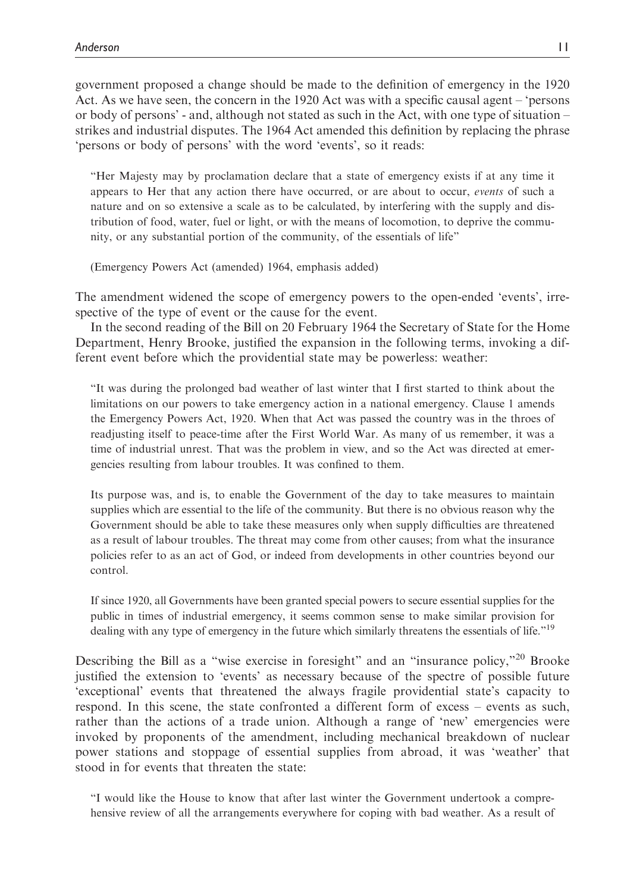government proposed a change should be made to the definition of emergency in the 1920 Act. As we have seen, the concern in the 1920 Act was with a specific causal agent – 'persons or body of persons' - and, although not stated as such in the Act, with one type of situation – strikes and industrial disputes. The 1964 Act amended this definition by replacing the phrase 'persons or body of persons' with the word 'events', so it reads:

"Her Majesty may by proclamation declare that a state of emergency exists if at any time it appears to Her that any action there have occurred, or are about to occur, events of such a nature and on so extensive a scale as to be calculated, by interfering with the supply and distribution of food, water, fuel or light, or with the means of locomotion, to deprive the community, or any substantial portion of the community, of the essentials of life"

(Emergency Powers Act (amended) 1964, emphasis added)

The amendment widened the scope of emergency powers to the open-ended 'events', irrespective of the type of event or the cause for the event.

In the second reading of the Bill on 20 February 1964 the Secretary of State for the Home Department, Henry Brooke, justified the expansion in the following terms, invoking a different event before which the providential state may be powerless: weather:

"It was during the prolonged bad weather of last winter that I first started to think about the limitations on our powers to take emergency action in a national emergency. Clause 1 amends the Emergency Powers Act, 1920. When that Act was passed the country was in the throes of readjusting itself to peace-time after the First World War. As many of us remember, it was a time of industrial unrest. That was the problem in view, and so the Act was directed at emergencies resulting from labour troubles. It was confined to them.

Its purpose was, and is, to enable the Government of the day to take measures to maintain supplies which are essential to the life of the community. But there is no obvious reason why the Government should be able to take these measures only when supply difficulties are threatened as a result of labour troubles. The threat may come from other causes; from what the insurance policies refer to as an act of God, or indeed from developments in other countries beyond our control.

If since 1920, all Governments have been granted special powers to secure essential supplies for the public in times of industrial emergency, it seems common sense to make similar provision for dealing with any type of emergency in the future which similarly threatens the essentials of life."<sup>19</sup>

Describing the Bill as a "wise exercise in foresight" and an "insurance policy,"<sup>20</sup> Brooke justified the extension to 'events' as necessary because of the spectre of possible future 'exceptional' events that threatened the always fragile providential state's capacity to respond. In this scene, the state confronted a different form of excess – events as such, rather than the actions of a trade union. Although a range of 'new' emergencies were invoked by proponents of the amendment, including mechanical breakdown of nuclear power stations and stoppage of essential supplies from abroad, it was 'weather' that stood in for events that threaten the state:

"I would like the House to know that after last winter the Government undertook a comprehensive review of all the arrangements everywhere for coping with bad weather. As a result of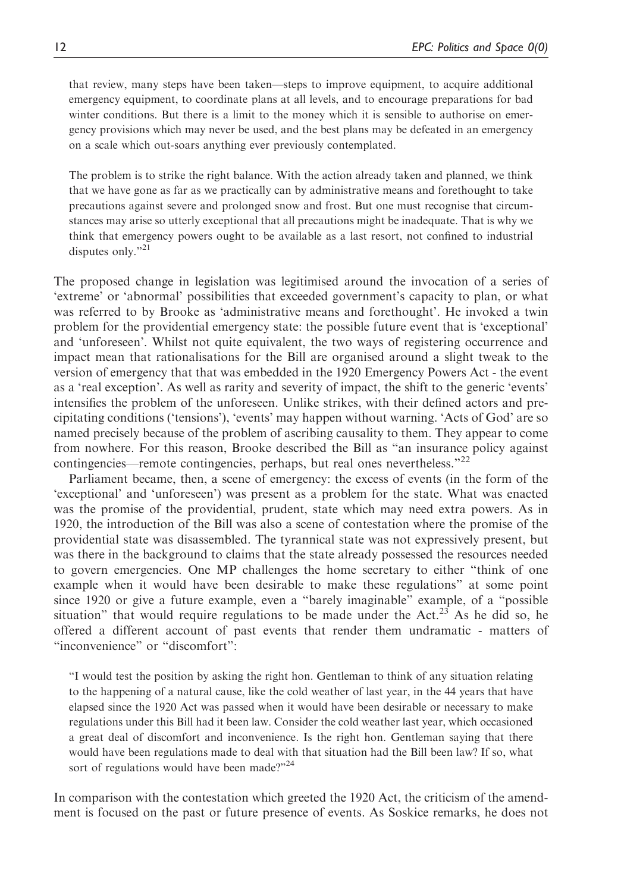that review, many steps have been taken—steps to improve equipment, to acquire additional emergency equipment, to coordinate plans at all levels, and to encourage preparations for bad winter conditions. But there is a limit to the money which it is sensible to authorise on emergency provisions which may never be used, and the best plans may be defeated in an emergency on a scale which out-soars anything ever previously contemplated.

The problem is to strike the right balance. With the action already taken and planned, we think that we have gone as far as we practically can by administrative means and forethought to take precautions against severe and prolonged snow and frost. But one must recognise that circumstances may arise so utterly exceptional that all precautions might be inadequate. That is why we think that emergency powers ought to be available as a last resort, not confined to industrial disputes only."<sup>21</sup>

The proposed change in legislation was legitimised around the invocation of a series of 'extreme' or 'abnormal' possibilities that exceeded government's capacity to plan, or what was referred to by Brooke as 'administrative means and forethought'. He invoked a twin problem for the providential emergency state: the possible future event that is 'exceptional' and 'unforeseen'. Whilst not quite equivalent, the two ways of registering occurrence and impact mean that rationalisations for the Bill are organised around a slight tweak to the version of emergency that that was embedded in the 1920 Emergency Powers Act - the event as a 'real exception'. As well as rarity and severity of impact, the shift to the generic 'events' intensifies the problem of the unforeseen. Unlike strikes, with their defined actors and precipitating conditions ('tensions'), 'events' may happen without warning. 'Acts of God' are so named precisely because of the problem of ascribing causality to them. They appear to come from nowhere. For this reason, Brooke described the Bill as "an insurance policy against contingencies—remote contingencies, perhaps, but real ones nevertheless."<sup>22</sup>

Parliament became, then, a scene of emergency: the excess of events (in the form of the 'exceptional' and 'unforeseen') was present as a problem for the state. What was enacted was the promise of the providential, prudent, state which may need extra powers. As in 1920, the introduction of the Bill was also a scene of contestation where the promise of the providential state was disassembled. The tyrannical state was not expressively present, but was there in the background to claims that the state already possessed the resources needed to govern emergencies. One MP challenges the home secretary to either "think of one example when it would have been desirable to make these regulations" at some point since 1920 or give a future example, even a "barely imaginable" example, of a "possible situation" that would require regulations to be made under the Act.<sup>23</sup> As he did so, he offered a different account of past events that render them undramatic - matters of "inconvenience" or "discomfort":

"I would test the position by asking the right hon. Gentleman to think of any situation relating to the happening of a natural cause, like the cold weather of last year, in the 44 years that have elapsed since the 1920 Act was passed when it would have been desirable or necessary to make regulations under this Bill had it been law. Consider the cold weather last year, which occasioned a great deal of discomfort and inconvenience. Is the right hon. Gentleman saying that there would have been regulations made to deal with that situation had the Bill been law? If so, what sort of regulations would have been made?"<sup>24</sup>

In comparison with the contestation which greeted the 1920 Act, the criticism of the amendment is focused on the past or future presence of events. As Soskice remarks, he does not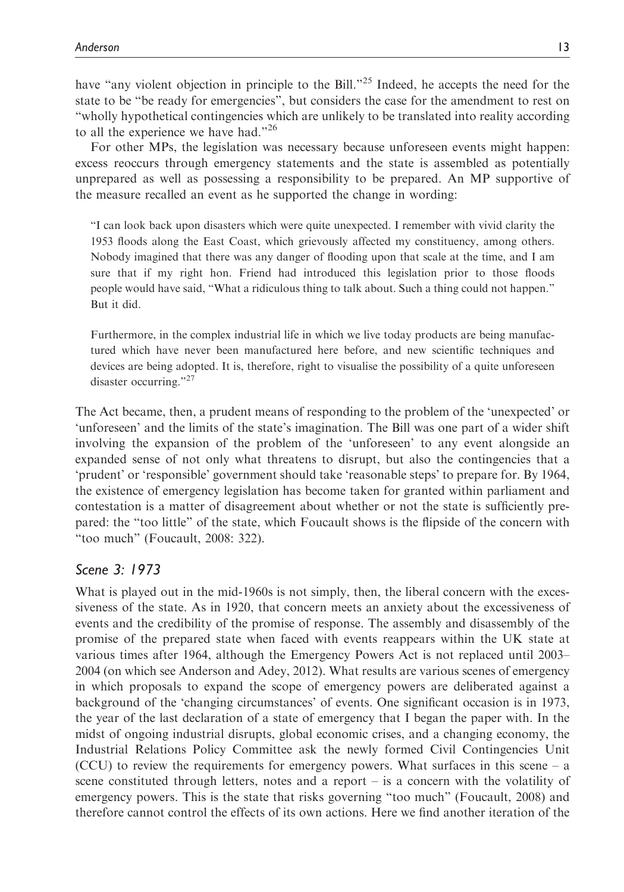have "any violent objection in principle to the Bill."<sup>25</sup> Indeed, he accepts the need for the state to be "be ready for emergencies", but considers the case for the amendment to rest on "wholly hypothetical contingencies which are unlikely to be translated into reality according to all the experience we have had."<sup>26</sup>

For other MPs, the legislation was necessary because unforeseen events might happen: excess reoccurs through emergency statements and the state is assembled as potentially unprepared as well as possessing a responsibility to be prepared. An MP supportive of the measure recalled an event as he supported the change in wording:

"I can look back upon disasters which were quite unexpected. I remember with vivid clarity the 1953 floods along the East Coast, which grievously affected my constituency, among others. Nobody imagined that there was any danger of flooding upon that scale at the time, and I am sure that if my right hon. Friend had introduced this legislation prior to those floods people would have said, "What a ridiculous thing to talk about. Such a thing could not happen." But it did.

Furthermore, in the complex industrial life in which we live today products are being manufactured which have never been manufactured here before, and new scientific techniques and devices are being adopted. It is, therefore, right to visualise the possibility of a quite unforeseen disaster occurring."<sup>27</sup>

The Act became, then, a prudent means of responding to the problem of the 'unexpected' or 'unforeseen' and the limits of the state's imagination. The Bill was one part of a wider shift involving the expansion of the problem of the 'unforeseen' to any event alongside an expanded sense of not only what threatens to disrupt, but also the contingencies that a 'prudent' or 'responsible' government should take 'reasonable steps' to prepare for. By 1964, the existence of emergency legislation has become taken for granted within parliament and contestation is a matter of disagreement about whether or not the state is sufficiently prepared: the "too little" of the state, which Foucault shows is the flipside of the concern with "too much" (Foucault, 2008: 322).

#### Scene 3: 1973

What is played out in the mid-1960s is not simply, then, the liberal concern with the excessiveness of the state. As in 1920, that concern meets an anxiety about the excessiveness of events and the credibility of the promise of response. The assembly and disassembly of the promise of the prepared state when faced with events reappears within the UK state at various times after 1964, although the Emergency Powers Act is not replaced until 2003– 2004 (on which see Anderson and Adey, 2012). What results are various scenes of emergency in which proposals to expand the scope of emergency powers are deliberated against a background of the 'changing circumstances' of events. One significant occasion is in 1973, the year of the last declaration of a state of emergency that I began the paper with. In the midst of ongoing industrial disrupts, global economic crises, and a changing economy, the Industrial Relations Policy Committee ask the newly formed Civil Contingencies Unit (CCU) to review the requirements for emergency powers. What surfaces in this scene – a scene constituted through letters, notes and a report – is a concern with the volatility of emergency powers. This is the state that risks governing "too much" (Foucault, 2008) and therefore cannot control the effects of its own actions. Here we find another iteration of the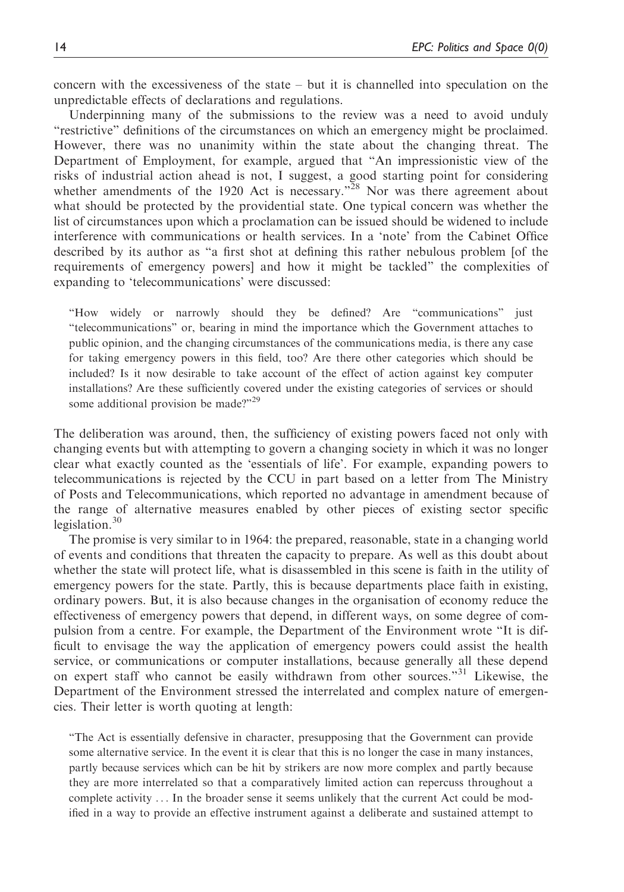concern with the excessiveness of the state – but it is channelled into speculation on the unpredictable effects of declarations and regulations.

Underpinning many of the submissions to the review was a need to avoid unduly "restrictive" definitions of the circumstances on which an emergency might be proclaimed. However, there was no unanimity within the state about the changing threat. The Department of Employment, for example, argued that "An impressionistic view of the risks of industrial action ahead is not, I suggest, a good starting point for considering whether amendments of the 1920 Act is necessary. $2^{28}$  Nor was there agreement about what should be protected by the providential state. One typical concern was whether the list of circumstances upon which a proclamation can be issued should be widened to include interference with communications or health services. In a 'note' from the Cabinet Office described by its author as "a first shot at defining this rather nebulous problem [of the requirements of emergency powers] and how it might be tackled" the complexities of expanding to 'telecommunications' were discussed:

"How widely or narrowly should they be defined? Are "communications" just "telecommunications" or, bearing in mind the importance which the Government attaches to public opinion, and the changing circumstances of the communications media, is there any case for taking emergency powers in this field, too? Are there other categories which should be included? Is it now desirable to take account of the effect of action against key computer installations? Are these sufficiently covered under the existing categories of services or should some additional provision be made?"<sup>29</sup>

The deliberation was around, then, the sufficiency of existing powers faced not only with changing events but with attempting to govern a changing society in which it was no longer clear what exactly counted as the 'essentials of life'. For example, expanding powers to telecommunications is rejected by the CCU in part based on a letter from The Ministry of Posts and Telecommunications, which reported no advantage in amendment because of the range of alternative measures enabled by other pieces of existing sector specific legislation. $30$ 

The promise is very similar to in 1964: the prepared, reasonable, state in a changing world of events and conditions that threaten the capacity to prepare. As well as this doubt about whether the state will protect life, what is disassembled in this scene is faith in the utility of emergency powers for the state. Partly, this is because departments place faith in existing, ordinary powers. But, it is also because changes in the organisation of economy reduce the effectiveness of emergency powers that depend, in different ways, on some degree of compulsion from a centre. For example, the Department of the Environment wrote "It is difficult to envisage the way the application of emergency powers could assist the health service, or communications or computer installations, because generally all these depend on expert staff who cannot be easily withdrawn from other sources."<sup>31</sup> Likewise, the Department of the Environment stressed the interrelated and complex nature of emergencies. Their letter is worth quoting at length:

"The Act is essentially defensive in character, presupposing that the Government can provide some alternative service. In the event it is clear that this is no longer the case in many instances, partly because services which can be hit by strikers are now more complex and partly because they are more interrelated so that a comparatively limited action can repercuss throughout a complete activity ... In the broader sense it seems unlikely that the current Act could be modified in a way to provide an effective instrument against a deliberate and sustained attempt to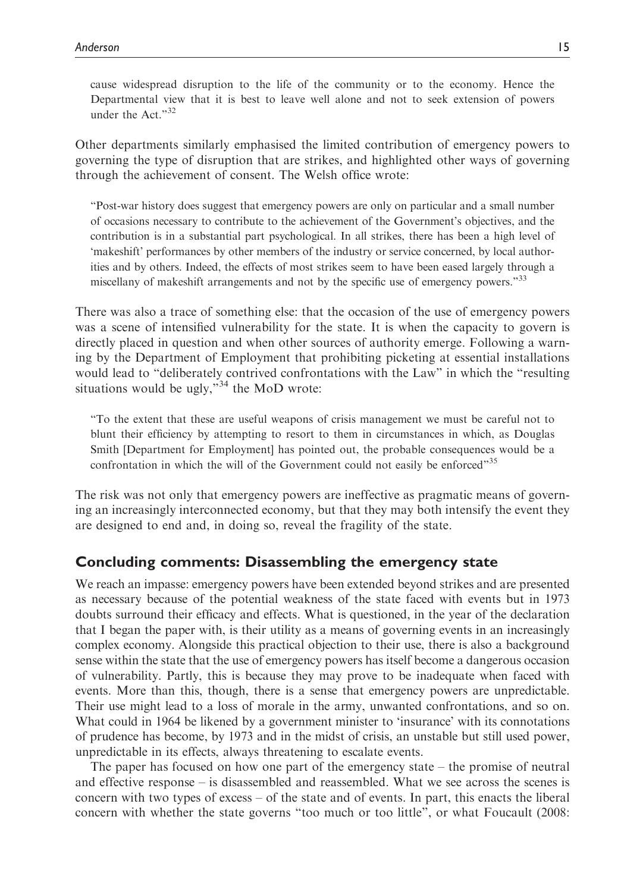cause widespread disruption to the life of the community or to the economy. Hence the Departmental view that it is best to leave well alone and not to seek extension of powers under the Act."<sup>32</sup>

Other departments similarly emphasised the limited contribution of emergency powers to governing the type of disruption that are strikes, and highlighted other ways of governing through the achievement of consent. The Welsh office wrote:

"Post-war history does suggest that emergency powers are only on particular and a small number of occasions necessary to contribute to the achievement of the Government's objectives, and the contribution is in a substantial part psychological. In all strikes, there has been a high level of 'makeshift' performances by other members of the industry or service concerned, by local authorities and by others. Indeed, the effects of most strikes seem to have been eased largely through a miscellany of makeshift arrangements and not by the specific use of emergency powers."<sup>33</sup>

There was also a trace of something else: that the occasion of the use of emergency powers was a scene of intensified vulnerability for the state. It is when the capacity to govern is directly placed in question and when other sources of authority emerge. Following a warning by the Department of Employment that prohibiting picketing at essential installations would lead to "deliberately contrived confrontations with the Law" in which the "resulting situations would be ugly," $34$  the MoD wrote:

"To the extent that these are useful weapons of crisis management we must be careful not to blunt their efficiency by attempting to resort to them in circumstances in which, as Douglas Smith [Department for Employment] has pointed out, the probable consequences would be a confrontation in which the will of the Government could not easily be enforced"<sup>35</sup>

The risk was not only that emergency powers are ineffective as pragmatic means of governing an increasingly interconnected economy, but that they may both intensify the event they are designed to end and, in doing so, reveal the fragility of the state.

#### Concluding comments: Disassembling the emergency state

We reach an impasse: emergency powers have been extended beyond strikes and are presented as necessary because of the potential weakness of the state faced with events but in 1973 doubts surround their efficacy and effects. What is questioned, in the year of the declaration that I began the paper with, is their utility as a means of governing events in an increasingly complex economy. Alongside this practical objection to their use, there is also a background sense within the state that the use of emergency powers has itself become a dangerous occasion of vulnerability. Partly, this is because they may prove to be inadequate when faced with events. More than this, though, there is a sense that emergency powers are unpredictable. Their use might lead to a loss of morale in the army, unwanted confrontations, and so on. What could in 1964 be likened by a government minister to 'insurance' with its connotations of prudence has become, by 1973 and in the midst of crisis, an unstable but still used power, unpredictable in its effects, always threatening to escalate events.

The paper has focused on how one part of the emergency state – the promise of neutral and effective response – is disassembled and reassembled. What we see across the scenes is concern with two types of excess – of the state and of events. In part, this enacts the liberal concern with whether the state governs "too much or too little", or what Foucault (2008: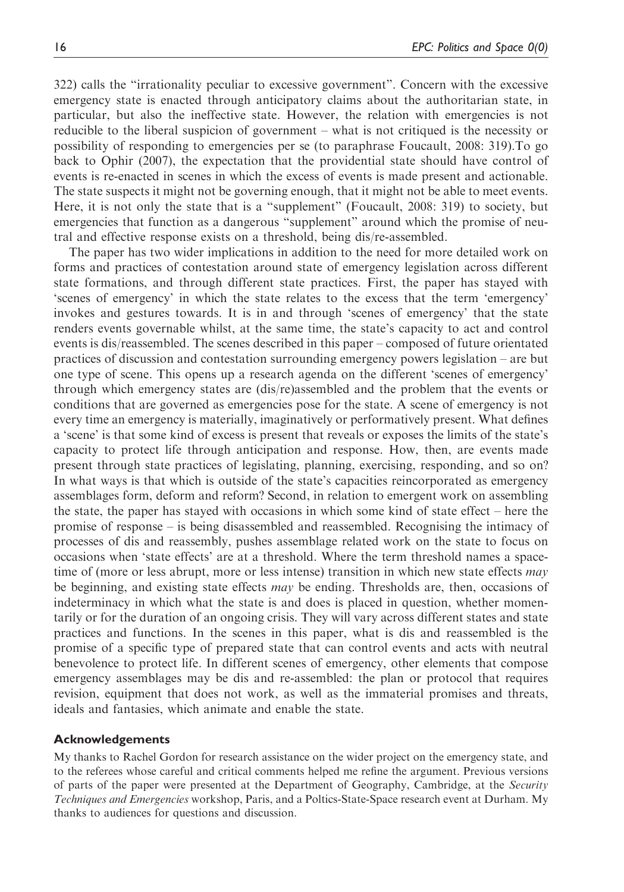322) calls the "irrationality peculiar to excessive government". Concern with the excessive emergency state is enacted through anticipatory claims about the authoritarian state, in particular, but also the ineffective state. However, the relation with emergencies is not reducible to the liberal suspicion of government – what is not critiqued is the necessity or possibility of responding to emergencies per se (to paraphrase Foucault, 2008: 319).To go back to Ophir (2007), the expectation that the providential state should have control of events is re-enacted in scenes in which the excess of events is made present and actionable. The state suspects it might not be governing enough, that it might not be able to meet events. Here, it is not only the state that is a "supplement" (Foucault, 2008: 319) to society, but emergencies that function as a dangerous "supplement" around which the promise of neutral and effective response exists on a threshold, being dis/re-assembled.

The paper has two wider implications in addition to the need for more detailed work on forms and practices of contestation around state of emergency legislation across different state formations, and through different state practices. First, the paper has stayed with 'scenes of emergency' in which the state relates to the excess that the term 'emergency' invokes and gestures towards. It is in and through 'scenes of emergency' that the state renders events governable whilst, at the same time, the state's capacity to act and control events is dis/reassembled. The scenes described in this paper – composed of future orientated practices of discussion and contestation surrounding emergency powers legislation – are but one type of scene. This opens up a research agenda on the different 'scenes of emergency' through which emergency states are (dis/re)assembled and the problem that the events or conditions that are governed as emergencies pose for the state. A scene of emergency is not every time an emergency is materially, imaginatively or performatively present. What defines a 'scene' is that some kind of excess is present that reveals or exposes the limits of the state's capacity to protect life through anticipation and response. How, then, are events made present through state practices of legislating, planning, exercising, responding, and so on? In what ways is that which is outside of the state's capacities reincorporated as emergency assemblages form, deform and reform? Second, in relation to emergent work on assembling the state, the paper has stayed with occasions in which some kind of state effect – here the promise of response – is being disassembled and reassembled. Recognising the intimacy of processes of dis and reassembly, pushes assemblage related work on the state to focus on occasions when 'state effects' are at a threshold. Where the term threshold names a spacetime of (more or less abrupt, more or less intense) transition in which new state effects  $may$ be beginning, and existing state effects *may* be ending. Thresholds are, then, occasions of indeterminacy in which what the state is and does is placed in question, whether momentarily or for the duration of an ongoing crisis. They will vary across different states and state practices and functions. In the scenes in this paper, what is dis and reassembled is the promise of a specific type of prepared state that can control events and acts with neutral benevolence to protect life. In different scenes of emergency, other elements that compose emergency assemblages may be dis and re-assembled: the plan or protocol that requires revision, equipment that does not work, as well as the immaterial promises and threats, ideals and fantasies, which animate and enable the state.

#### Acknowledgements

My thanks to Rachel Gordon for research assistance on the wider project on the emergency state, and to the referees whose careful and critical comments helped me refine the argument. Previous versions of parts of the paper were presented at the Department of Geography, Cambridge, at the Security Techniques and Emergencies workshop, Paris, and a Poltics-State-Space research event at Durham. My thanks to audiences for questions and discussion.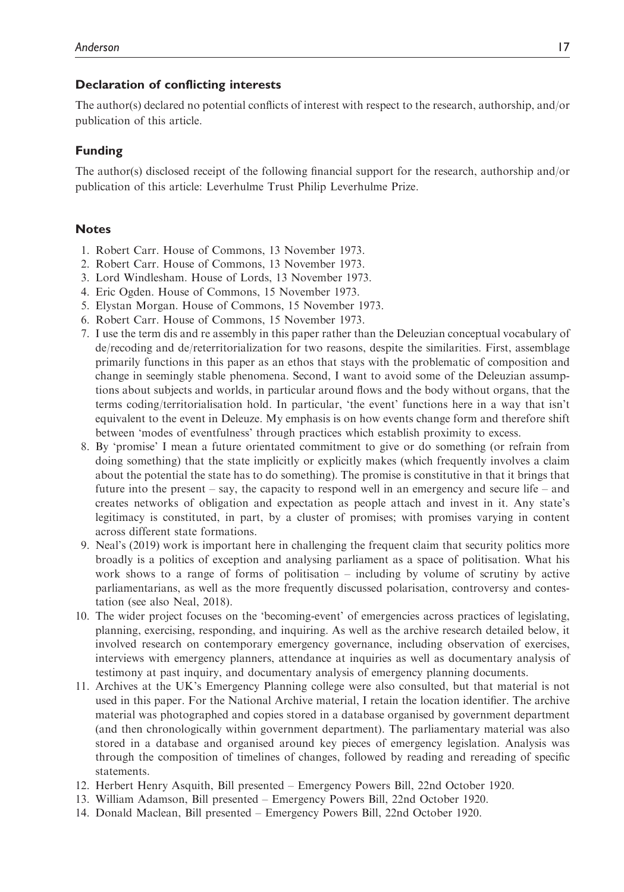#### Declaration of conflicting interests

The author(s) declared no potential conflicts of interest with respect to the research, authorship, and/or publication of this article.

#### Funding

The author(s) disclosed receipt of the following financial support for the research, authorship and/or publication of this article: Leverhulme Trust Philip Leverhulme Prize.

#### **Notes**

- 1. Robert Carr. House of Commons, 13 November 1973.
- 2. Robert Carr. House of Commons, 13 November 1973.
- 3. Lord Windlesham. House of Lords, 13 November 1973.
- 4. Eric Ogden. House of Commons, 15 November 1973.
- 5. Elystan Morgan. House of Commons, 15 November 1973.
- 6. Robert Carr. House of Commons, 15 November 1973.
- 7. I use the term dis and re assembly in this paper rather than the Deleuzian conceptual vocabulary of de/recoding and de/reterritorialization for two reasons, despite the similarities. First, assemblage primarily functions in this paper as an ethos that stays with the problematic of composition and change in seemingly stable phenomena. Second, I want to avoid some of the Deleuzian assumptions about subjects and worlds, in particular around flows and the body without organs, that the terms coding/territorialisation hold. In particular, 'the event' functions here in a way that isn't equivalent to the event in Deleuze. My emphasis is on how events change form and therefore shift between 'modes of eventfulness' through practices which establish proximity to excess.
- 8. By 'promise' I mean a future orientated commitment to give or do something (or refrain from doing something) that the state implicitly or explicitly makes (which frequently involves a claim about the potential the state has to do something). The promise is constitutive in that it brings that future into the present – say, the capacity to respond well in an emergency and secure life – and creates networks of obligation and expectation as people attach and invest in it. Any state's legitimacy is constituted, in part, by a cluster of promises; with promises varying in content across different state formations.
- 9. Neal's (2019) work is important here in challenging the frequent claim that security politics more broadly is a politics of exception and analysing parliament as a space of politisation. What his work shows to a range of forms of politisation – including by volume of scrutiny by active parliamentarians, as well as the more frequently discussed polarisation, controversy and contestation (see also Neal, 2018).
- 10. The wider project focuses on the 'becoming-event' of emergencies across practices of legislating, planning, exercising, responding, and inquiring. As well as the archive research detailed below, it involved research on contemporary emergency governance, including observation of exercises, interviews with emergency planners, attendance at inquiries as well as documentary analysis of testimony at past inquiry, and documentary analysis of emergency planning documents.
- 11. Archives at the UK's Emergency Planning college were also consulted, but that material is not used in this paper. For the National Archive material, I retain the location identifier. The archive material was photographed and copies stored in a database organised by government department (and then chronologically within government department). The parliamentary material was also stored in a database and organised around key pieces of emergency legislation. Analysis was through the composition of timelines of changes, followed by reading and rereading of specific statements.
- 12. Herbert Henry Asquith, Bill presented Emergency Powers Bill, 22nd October 1920.
- 13. William Adamson, Bill presented Emergency Powers Bill, 22nd October 1920.
- 14. Donald Maclean, Bill presented Emergency Powers Bill, 22nd October 1920.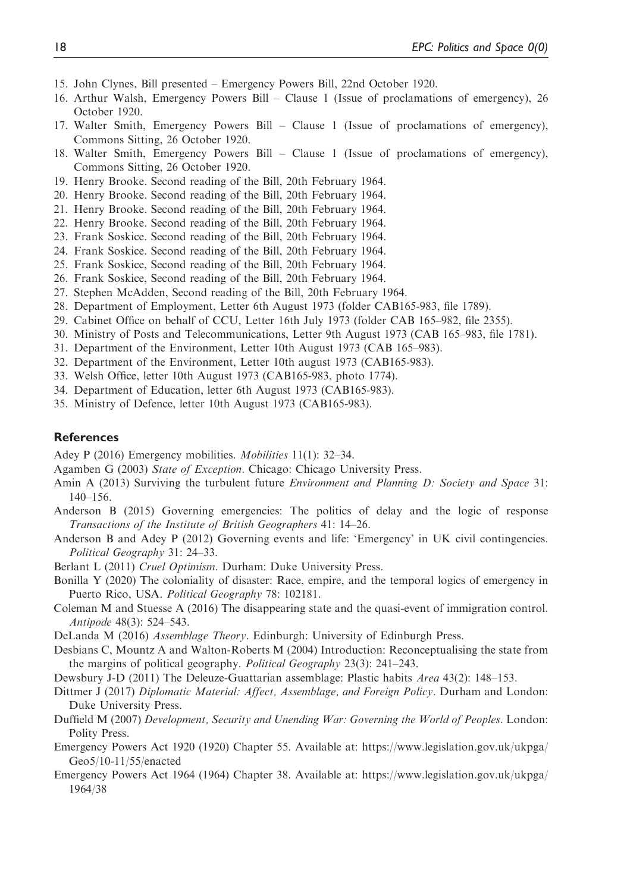- 15. John Clynes, Bill presented Emergency Powers Bill, 22nd October 1920.
- 16. Arthur Walsh, Emergency Powers Bill Clause 1 (Issue of proclamations of emergency), 26 October 1920.
- 17. Walter Smith, Emergency Powers Bill Clause 1 (Issue of proclamations of emergency), Commons Sitting, 26 October 1920.
- 18. Walter Smith, Emergency Powers Bill Clause 1 (Issue of proclamations of emergency), Commons Sitting, 26 October 1920.
- 19. Henry Brooke. Second reading of the Bill, 20th February 1964.
- 20. Henry Brooke. Second reading of the Bill, 20th February 1964.
- 21. Henry Brooke. Second reading of the Bill, 20th February 1964.
- 22. Henry Brooke. Second reading of the Bill, 20th February 1964.
- 23. Frank Soskice. Second reading of the Bill, 20th February 1964.
- 24. Frank Soskice. Second reading of the Bill, 20th February 1964.
- 25. Frank Soskice, Second reading of the Bill, 20th February 1964.
- 26. Frank Soskice, Second reading of the Bill, 20th February 1964.
- 27. Stephen McAdden, Second reading of the Bill, 20th February 1964.
- 28. Department of Employment, Letter 6th August 1973 (folder CAB165-983, file 1789).
- 29. Cabinet Office on behalf of CCU, Letter 16th July 1973 (folder CAB 165–982, file 2355).
- 30. Ministry of Posts and Telecommunications, Letter 9th August 1973 (CAB 165–983, file 1781).
- 31. Department of the Environment, Letter 10th August 1973 (CAB 165–983).
- 32. Department of the Environment, Letter 10th august 1973 (CAB165-983).
- 33. Welsh Office, letter 10th August 1973 (CAB165-983, photo 1774).
- 34. Department of Education, letter 6th August 1973 (CAB165-983).
- 35. Ministry of Defence, letter 10th August 1973 (CAB165-983).

#### **References**

Adey P (2016) Emergency mobilities. *Mobilities* 11(1): 32–34.

Agamben G (2003) State of Exception. Chicago: Chicago University Press.

- Amin A (2013) Surviving the turbulent future *Environment and Planning D: Society and Space* 31: 140–156.
- Anderson B (2015) Governing emergencies: The politics of delay and the logic of response Transactions of the Institute of British Geographers 41: 14–26.
- Anderson B and Adey P (2012) Governing events and life: 'Emergency' in UK civil contingencies. Political Geography 31: 24–33.
- Berlant L (2011) Cruel Optimism. Durham: Duke University Press.
- Bonilla Y (2020) The coloniality of disaster: Race, empire, and the temporal logics of emergency in Puerto Rico, USA. Political Geography 78: 102181.
- Coleman M and Stuesse A (2016) The disappearing state and the quasi-event of immigration control. Antipode 48(3): 524–543.
- DeLanda M (2016) Assemblage Theory. Edinburgh: University of Edinburgh Press.
- Desbians C, Mountz A and Walton-Roberts M (2004) Introduction: Reconceptualising the state from the margins of political geography. Political Geography 23(3): 241–243.
- Dewsbury J-D (2011) The Deleuze-Guattarian assemblage: Plastic habits *Area* 43(2): 148–153.
- Dittmer J (2017) Diplomatic Material: Affect, Assemblage, and Foreign Policy. Durham and London: Duke University Press.
- Duffield M (2007) Development, Security and Unending War: Governing the World of Peoples. London: Polity Press.
- Emergency Powers Act 1920 (1920) Chapter 55. Available at: [https://www.legislation.gov.uk/ukpga/](https://www.legislation.gov.uk/ukpga/Geo5/10-11/55/enacted) [Geo5/10-11/55/enacted](https://www.legislation.gov.uk/ukpga/Geo5/10-11/55/enacted)
- Emergency Powers Act 1964 (1964) Chapter 38. Available at: [https://www.legislation.gov.uk/ukpga/](https://www.legislation.gov.uk/ukpga/1964/38) [1964/38](https://www.legislation.gov.uk/ukpga/1964/38)